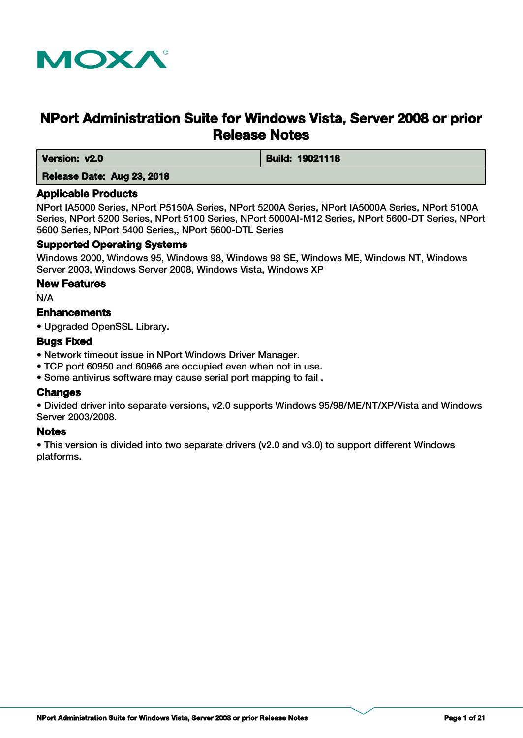

# **NPort Administration Suite for Windows Vista, Server 2008 or prior Release Notes**

 **Version: v2.0 Build: 19021118** 

# **Release Date: Aug 23, 2018**

# **Applicable Products**

NPort IA5000 Series, NPort P5150A Series, NPort 5200A Series, NPort IA5000A Series, NPort 5100A Series, NPort 5200 Series, NPort 5100 Series, NPort 5000AI-M12 Series, NPort 5600-DT Series, NPort 5600 Series, NPort 5400 Series,, NPort 5600-DTL Series

# **Supported Operating Systems**

Windows 2000, Windows 95, Windows 98, Windows 98 SE, Windows ME, Windows NT, Windows Server 2003, Windows Server 2008, Windows Vista, Windows XP

# **New Features**

N/A

# **Enhancements**

• Upgraded OpenSSL Library.

# **Bugs Fixed**

- Network timeout issue in NPort Windows Driver Manager.
- TCP port 60950 and 60966 are occupied even when not in use.
- Some antivirus software may cause serial port mapping to fail .

# **Changes**

• Divided driver into separate versions, v2.0 supports Windows 95/98/ME/NT/XP/Vista and Windows Server 2003/2008.

# **Notes**

• This version is divided into two separate drivers (v2.0 and v3.0) to support different Windows platforms.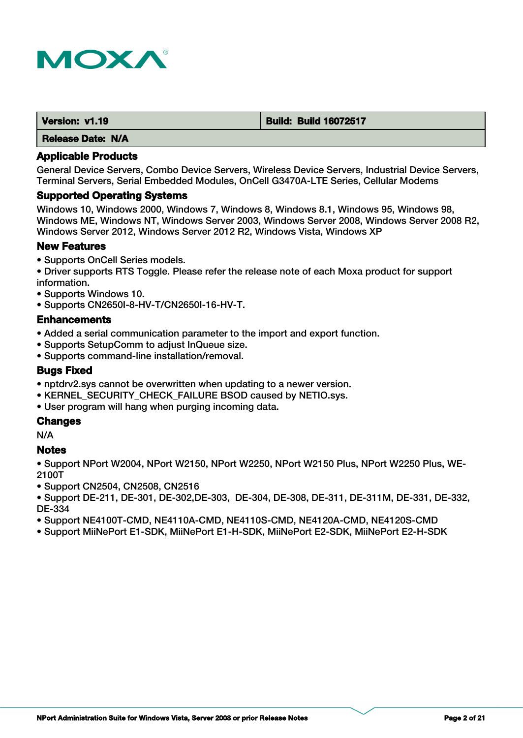

| Version: v1.19           | <b>Build: Build 16072517</b> |
|--------------------------|------------------------------|
| <b>Release Date: N/A</b> |                              |

General Device Servers, Combo Device Servers, Wireless Device Servers, Industrial Device Servers, Terminal Servers, Serial Embedded Modules, OnCell G3470A-LTE Series, Cellular Modems

#### **Supported Operating Systems**

Windows 10, Windows 2000, Windows 7, Windows 8, Windows 8.1, Windows 95, Windows 98, Windows ME, Windows NT, Windows Server 2003, Windows Server 2008, Windows Server 2008 R2, Windows Server 2012, Windows Server 2012 R2, Windows Vista, Windows XP

# **New Features**

- Supports OnCell Series models.
- Driver supports RTS Toggle. Please refer the release note of each Moxa product for support information.
- Supports Windows 10.
- Supports CN2650I-8-HV-T/CN2650I-16-HV-T.

#### **Enhancements**

- Added a serial communication parameter to the import and export function.
- Supports SetupComm to adjust InQueue size.
- Supports command-line installation/removal.

## **Bugs Fixed**

- nptdrv2.sys cannot be overwritten when updating to a newer version.
- KERNEL\_SECURITY\_CHECK\_FAILURE BSOD caused by NETIO.sys.
- User program will hang when purging incoming data.

# **Changes**

N/A

# **Notes**

• Support NPort W2004, NPort W2150, NPort W2250, NPort W2150 Plus, NPort W2250 Plus, WE-2100T

- Support CN2504, CN2508, CN2516
- Support DE-211, DE-301, DE-302,DE-303, DE-304, DE-308, DE-311, DE-311M, DE-331, DE-332, DE-334
- Support NE4100T-CMD, NE4110A-CMD, NE4110S-CMD, NE4120A-CMD, NE4120S-CMD
- Support MiiNePort E1-SDK, MiiNePort E1-H-SDK, MiiNePort E2-SDK, MiiNePort E2-H-SDK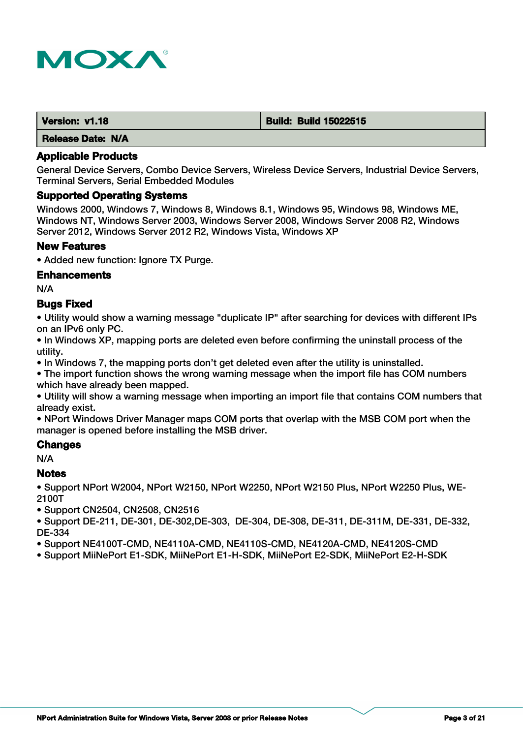

| Version: v1.18           | <b>Build: Build 15022515</b> |
|--------------------------|------------------------------|
| <b>Release Date: N/A</b> |                              |

General Device Servers, Combo Device Servers, Wireless Device Servers, Industrial Device Servers, Terminal Servers, Serial Embedded Modules

#### **Supported Operating Systems**

Windows 2000, Windows 7, Windows 8, Windows 8.1, Windows 95, Windows 98, Windows ME, Windows NT, Windows Server 2003, Windows Server 2008, Windows Server 2008 R2, Windows Server 2012, Windows Server 2012 R2, Windows Vista, Windows XP

#### **New Features**

• Added new function: Ignore TX Purge.

#### **Enhancements**

N/A

## **Bugs Fixed**

• Utility would show a warning message "duplicate IP" after searching for devices with different IPs on an IPv6 only PC.

• In Windows XP, mapping ports are deleted even before confirming the uninstall process of the utility.

• In Windows 7, the mapping ports don't get deleted even after the utility is uninstalled.

• The import function shows the wrong warning message when the import file has COM numbers which have already been mapped.

• Utility will show a warning message when importing an import file that contains COM numbers that already exist.

• NPort Windows Driver Manager maps COM ports that overlap with the MSB COM port when the manager is opened before installing the MSB driver.

#### **Changes**

N/A

#### **Notes**

• Support NPort W2004, NPort W2150, NPort W2250, NPort W2150 Plus, NPort W2250 Plus, WE-2100T

• Support CN2504, CN2508, CN2516

• Support DE-211, DE-301, DE-302,DE-303, DE-304, DE-308, DE-311, DE-311M, DE-331, DE-332, DE-334

• Support NE4100T-CMD, NE4110A-CMD, NE4110S-CMD, NE4120A-CMD, NE4120S-CMD

• Support MiiNePort E1-SDK, MiiNePort E1-H-SDK, MiiNePort E2-SDK, MiiNePort E2-H-SDK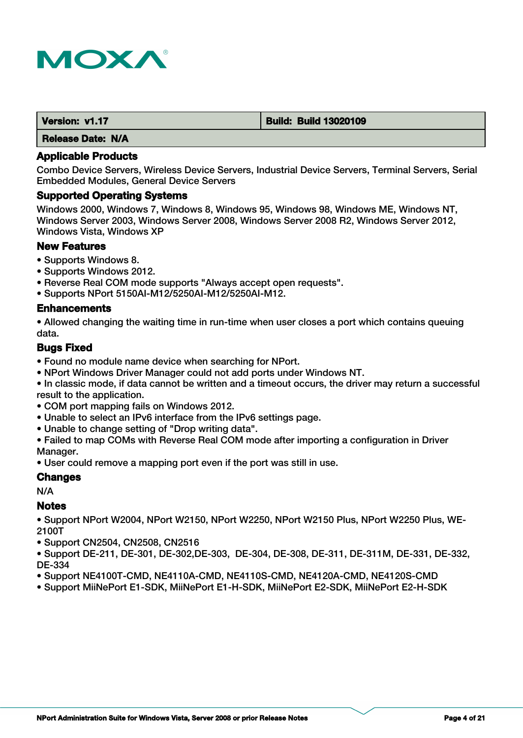

| Version: v1.17           | <b>Build: Build 13020109</b> |
|--------------------------|------------------------------|
| <b>Release Date: N/A</b> |                              |

Combo Device Servers, Wireless Device Servers, Industrial Device Servers, Terminal Servers, Serial Embedded Modules, General Device Servers

#### **Supported Operating Systems**

Windows 2000, Windows 7, Windows 8, Windows 95, Windows 98, Windows ME, Windows NT, Windows Server 2003, Windows Server 2008, Windows Server 2008 R2, Windows Server 2012, Windows Vista, Windows XP

# **New Features**

- Supports Windows 8.
- Supports Windows 2012.
- Reverse Real COM mode supports "Always accept open requests".
- Supports NPort 5150AI-M12/5250AI-M12/5250AI-M12.

#### **Enhancements**

• Allowed changing the waiting time in run-time when user closes a port which contains queuing data.

#### **Bugs Fixed**

- Found no module name device when searching for NPort.
- NPort Windows Driver Manager could not add ports under Windows NT.

• In classic mode, if data cannot be written and a timeout occurs, the driver may return a successful result to the application.

- COM port mapping fails on Windows 2012.
- Unable to select an IPv6 interface from the IPv6 settings page.
- Unable to change setting of "Drop writing data".
- Failed to map COMs with Reverse Real COM mode after importing a configuration in Driver Manager.
- User could remove a mapping port even if the port was still in use.

# **Changes**

N/A

#### **Notes**

• Support NPort W2004, NPort W2150, NPort W2250, NPort W2150 Plus, NPort W2250 Plus, WE-2100T

• Support CN2504, CN2508, CN2516

• Support DE-211, DE-301, DE-302,DE-303, DE-304, DE-308, DE-311, DE-311M, DE-331, DE-332, DE-334

• Support NE4100T-CMD, NE4110A-CMD, NE4110S-CMD, NE4120A-CMD, NE4120S-CMD

• Support MiiNePort E1-SDK, MiiNePort E1-H-SDK, MiiNePort E2-SDK, MiiNePort E2-H-SDK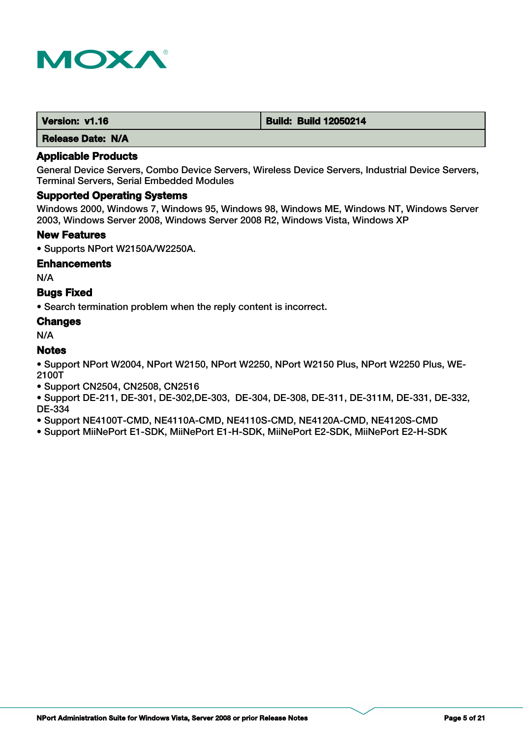

| Version: v1.16 | <b>Build: Build 12050214</b> |
|----------------|------------------------------|
| ____           |                              |

# **Applicable Products**

General Device Servers, Combo Device Servers, Wireless Device Servers, Industrial Device Servers, Terminal Servers, Serial Embedded Modules

# **Supported Operating Systems**

Windows 2000, Windows 7, Windows 95, Windows 98, Windows ME, Windows NT, Windows Server 2003, Windows Server 2008, Windows Server 2008 R2, Windows Vista, Windows XP

#### **New Features**

• Supports NPort W2150A/W2250A.

#### **Enhancements**

N/A

# **Bugs Fixed**

• Search termination problem when the reply content is incorrect.

# **Changes**

N/A

# **Notes**

• Support NPort W2004, NPort W2150, NPort W2250, NPort W2150 Plus, NPort W2250 Plus, WE-2100T

• Support CN2504, CN2508, CN2516

• Support DE-211, DE-301, DE-302,DE-303, DE-304, DE-308, DE-311, DE-311M, DE-331, DE-332, DE-334

• Support NE4100T-CMD, NE4110A-CMD, NE4110S-CMD, NE4120A-CMD, NE4120S-CMD

• Support MiiNePort E1-SDK, MiiNePort E1-H-SDK, MiiNePort E2-SDK, MiiNePort E2-H-SDK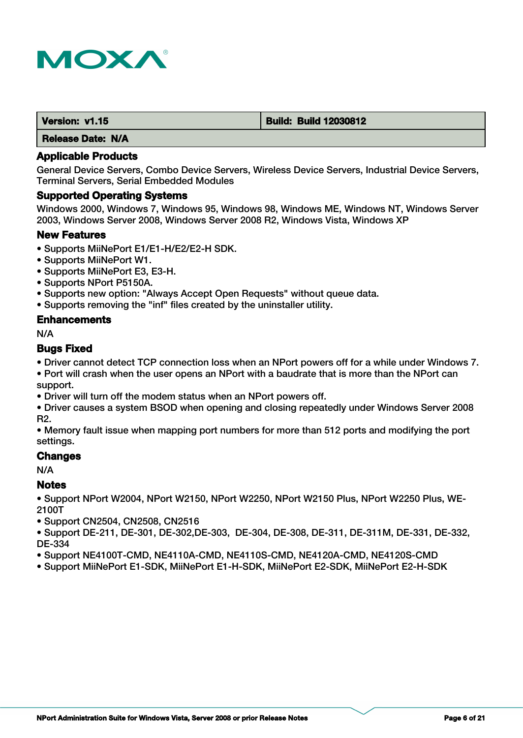

| Version: v1.15 | <b>Build: Build 12030812</b> |
|----------------|------------------------------|
|                |                              |

## **Applicable Products**

General Device Servers, Combo Device Servers, Wireless Device Servers, Industrial Device Servers, Terminal Servers, Serial Embedded Modules

#### **Supported Operating Systems**

Windows 2000, Windows 7, Windows 95, Windows 98, Windows ME, Windows NT, Windows Server 2003, Windows Server 2008, Windows Server 2008 R2, Windows Vista, Windows XP

#### **New Features**

- Supports MiiNePort E1/E1-H/E2/E2-H SDK.
- Supports MiiNePort W1.
- Supports MiiNePort E3, E3-H.
- Supports NPort P5150A.
- Supports new option: "Always Accept Open Requests" without queue data.
- Supports removing the "inf" files created by the uninstaller utility.

#### **Enhancements**

N/A

# **Bugs Fixed**

• Driver cannot detect TCP connection loss when an NPort powers off for a while under Windows 7.

• Port will crash when the user opens an NPort with a baudrate that is more than the NPort can support.

• Driver will turn off the modem status when an NPort powers off.

• Driver causes a system BSOD when opening and closing repeatedly under Windows Server 2008 R2.

• Memory fault issue when mapping port numbers for more than 512 ports and modifying the port settings.

# **Changes**

N/A

# **Notes**

• Support NPort W2004, NPort W2150, NPort W2250, NPort W2150 Plus, NPort W2250 Plus, WE-2100T

• Support CN2504, CN2508, CN2516

• Support DE-211, DE-301, DE-302,DE-303, DE-304, DE-308, DE-311, DE-311M, DE-331, DE-332, DE-334

- Support NE4100T-CMD, NE4110A-CMD, NE4110S-CMD, NE4120A-CMD, NE4120S-CMD
- Support MiiNePort E1-SDK, MiiNePort E1-H-SDK, MiiNePort E2-SDK, MiiNePort E2-H-SDK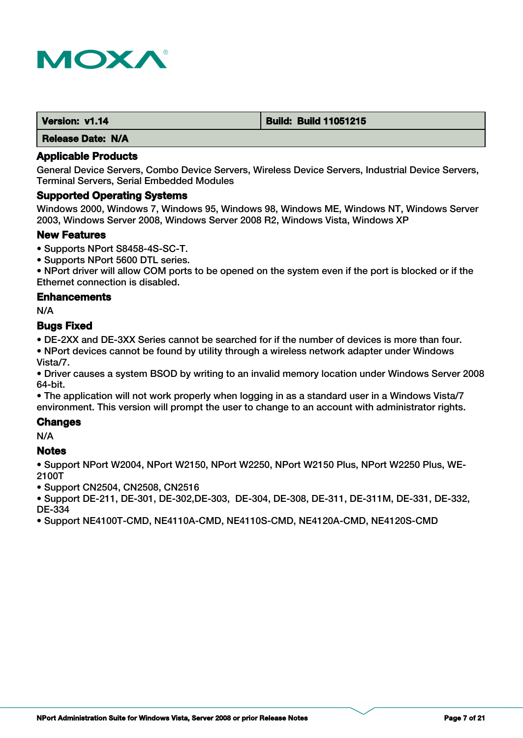

| Version: v1.14           | <b>Build: Build 11051215</b> |
|--------------------------|------------------------------|
| <b>Release Date: N/A</b> |                              |

General Device Servers, Combo Device Servers, Wireless Device Servers, Industrial Device Servers, Terminal Servers, Serial Embedded Modules

#### **Supported Operating Systems**

Windows 2000, Windows 7, Windows 95, Windows 98, Windows ME, Windows NT, Windows Server 2003, Windows Server 2008, Windows Server 2008 R2, Windows Vista, Windows XP

#### **New Features**

- Supports NPort S8458-4S-SC-T.
- Supports NPort 5600 DTL series.

• NPort driver will allow COM ports to be opened on the system even if the port is blocked or if the Ethernet connection is disabled.

#### **Enhancements**

N/A

### **Bugs Fixed**

• DE-2XX and DE-3XX Series cannot be searched for if the number of devices is more than four.

• NPort devices cannot be found by utility through a wireless network adapter under Windows Vista/7.

• Driver causes a system BSOD by writing to an invalid memory location under Windows Server 2008 64-bit.

• The application will not work properly when logging in as a standard user in a Windows Vista/7 environment. This version will prompt the user to change to an account with administrator rights.

# **Changes**

N/A

#### **Notes**

• Support NPort W2004, NPort W2150, NPort W2250, NPort W2150 Plus, NPort W2250 Plus, WE-2100T

• Support CN2504, CN2508, CN2516

• Support DE-211, DE-301, DE-302,DE-303, DE-304, DE-308, DE-311, DE-311M, DE-331, DE-332, DE-334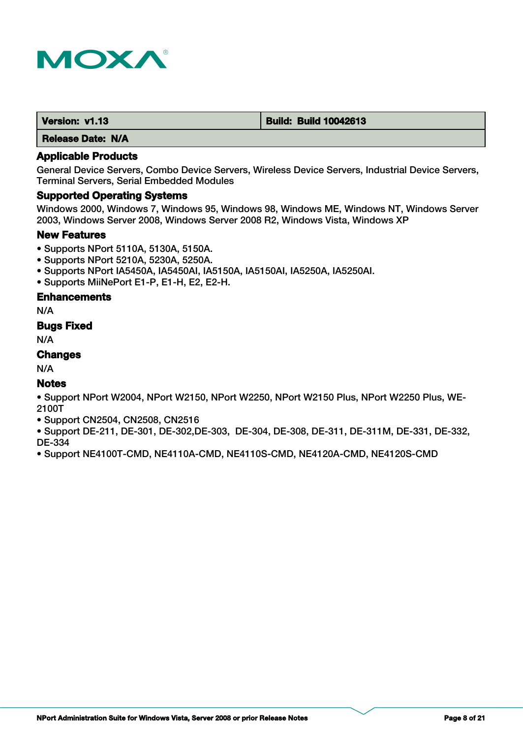

| Version: v1.13 | <b>Build: Build 10042613</b> |
|----------------|------------------------------|
|                |                              |

## **Applicable Products**

General Device Servers, Combo Device Servers, Wireless Device Servers, Industrial Device Servers, Terminal Servers, Serial Embedded Modules

#### **Supported Operating Systems**

Windows 2000, Windows 7, Windows 95, Windows 98, Windows ME, Windows NT, Windows Server 2003, Windows Server 2008, Windows Server 2008 R2, Windows Vista, Windows XP

#### **New Features**

- Supports NPort 5110A, 5130A, 5150A.
- Supports NPort 5210A, 5230A, 5250A.
- Supports NPort IA5450A, IA5450AI, IA5150A, IA5150AI, IA5250A, IA5250AI.
- Supports MiiNePort E1-P, E1-H, E2, E2-H.

#### **Enhancements**

N/A

# **Bugs Fixed**

N/A

# **Changes**

N/A

# **Notes**

• Support NPort W2004, NPort W2150, NPort W2250, NPort W2150 Plus, NPort W2250 Plus, WE-2100T

• Support CN2504, CN2508, CN2516

• Support DE-211, DE-301, DE-302,DE-303, DE-304, DE-308, DE-311, DE-311M, DE-331, DE-332, DE-334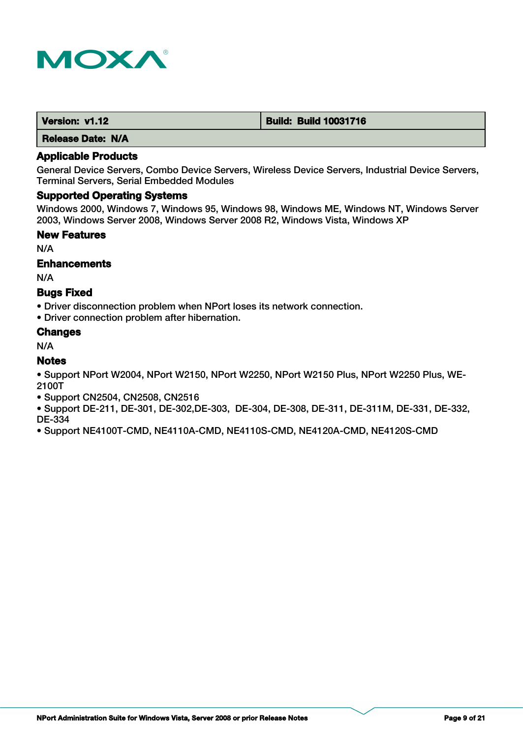

| Version: v1.12           | <b>Build: Build 10031716</b> |
|--------------------------|------------------------------|
| <b>Release Date: N/A</b> |                              |

General Device Servers, Combo Device Servers, Wireless Device Servers, Industrial Device Servers, Terminal Servers, Serial Embedded Modules

## **Supported Operating Systems**

Windows 2000, Windows 7, Windows 95, Windows 98, Windows ME, Windows NT, Windows Server 2003, Windows Server 2008, Windows Server 2008 R2, Windows Vista, Windows XP

#### **New Features**

N/A

#### **Enhancements**

N/A

# **Bugs Fixed**

• Driver disconnection problem when NPort loses its network connection.

• Driver connection problem after hibernation.

#### **Changes**

N/A

# **Notes**

• Support NPort W2004, NPort W2150, NPort W2250, NPort W2150 Plus, NPort W2250 Plus, WE-2100T

- Support CN2504, CN2508, CN2516
- Support DE-211, DE-301, DE-302,DE-303, DE-304, DE-308, DE-311, DE-311M, DE-331, DE-332, DE-334
- Support NE4100T-CMD, NE4110A-CMD, NE4110S-CMD, NE4120A-CMD, NE4120S-CMD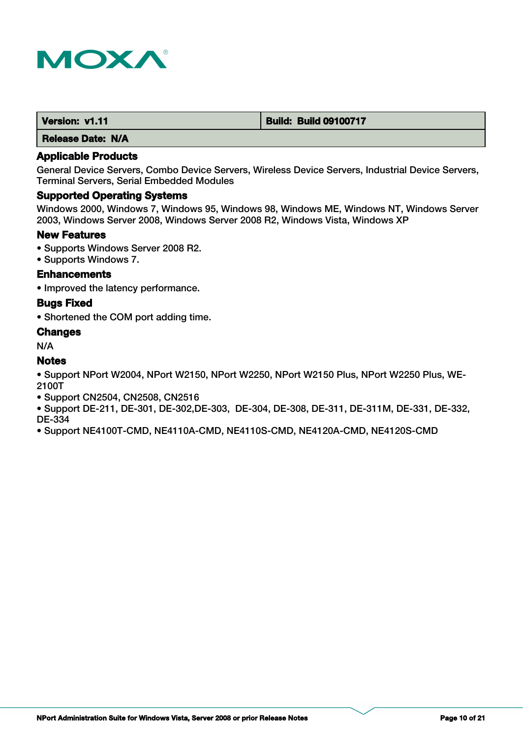

| Version: v1.11 | <b>Build: Build 09100717</b> |
|----------------|------------------------------|
|                |                              |

## **Applicable Products**

General Device Servers, Combo Device Servers, Wireless Device Servers, Industrial Device Servers, Terminal Servers, Serial Embedded Modules

# **Supported Operating Systems**

Windows 2000, Windows 7, Windows 95, Windows 98, Windows ME, Windows NT, Windows Server 2003, Windows Server 2008, Windows Server 2008 R2, Windows Vista, Windows XP

#### **New Features**

- Supports Windows Server 2008 R2.
- Supports Windows 7.

# **Enhancements**

• Improved the latency performance.

#### **Bugs Fixed**

• Shortened the COM port adding time.

# **Changes**

N/A

## **Notes**

• Support NPort W2004, NPort W2150, NPort W2250, NPort W2150 Plus, NPort W2250 Plus, WE-2100T

- Support CN2504, CN2508, CN2516
- Support DE-211, DE-301, DE-302,DE-303, DE-304, DE-308, DE-311, DE-311M, DE-331, DE-332, DE-334
- Support NE4100T-CMD, NE4110A-CMD, NE4110S-CMD, NE4120A-CMD, NE4120S-CMD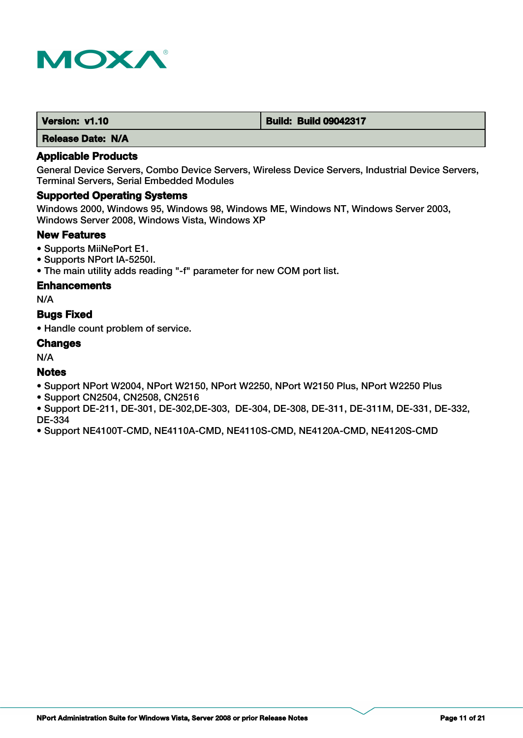

| Version: v1.10 | <b>Build: Build 09042317</b> |
|----------------|------------------------------|
|                |                              |

## **Applicable Products**

General Device Servers, Combo Device Servers, Wireless Device Servers, Industrial Device Servers, Terminal Servers, Serial Embedded Modules

# **Supported Operating Systems**

Windows 2000, Windows 95, Windows 98, Windows ME, Windows NT, Windows Server 2003, Windows Server 2008, Windows Vista, Windows XP

## **New Features**

- Supports MiiNePort E1.
- Supports NPort IA-5250I.
- The main utility adds reading "-f" parameter for new COM port list.

#### **Enhancements**

N/A

# **Bugs Fixed**

• Handle count problem of service.

#### **Changes**

N/A

# **Notes**

- Support NPort W2004, NPort W2150, NPort W2250, NPort W2150 Plus, NPort W2250 Plus
- Support CN2504, CN2508, CN2516
- Support DE-211, DE-301, DE-302,DE-303, DE-304, DE-308, DE-311, DE-311M, DE-331, DE-332, DE-334
- Support NE4100T-CMD, NE4110A-CMD, NE4110S-CMD, NE4120A-CMD, NE4120S-CMD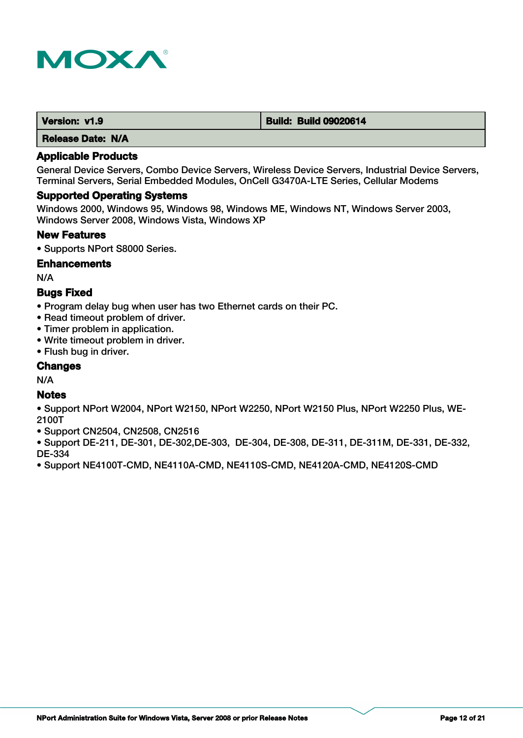

| Version: v1.9 | <b>Build: Build 09020614</b> |
|---------------|------------------------------|
|               |                              |

## **Applicable Products**

General Device Servers, Combo Device Servers, Wireless Device Servers, Industrial Device Servers, Terminal Servers, Serial Embedded Modules, OnCell G3470A-LTE Series, Cellular Modems

#### **Supported Operating Systems**

Windows 2000, Windows 95, Windows 98, Windows ME, Windows NT, Windows Server 2003, Windows Server 2008, Windows Vista, Windows XP

#### **New Features**

• Supports NPort S8000 Series.

#### **Enhancements**

N/A

# **Bugs Fixed**

- Program delay bug when user has two Ethernet cards on their PC.
- Read timeout problem of driver.
- Timer problem in application.
- Write timeout problem in driver.
- Flush bug in driver.

#### **Changes**

N/A

# **Notes**

- Support NPort W2004, NPort W2150, NPort W2250, NPort W2150 Plus, NPort W2250 Plus, WE-2100T
- Support CN2504, CN2508, CN2516
- Support DE-211, DE-301, DE-302,DE-303, DE-304, DE-308, DE-311, DE-311M, DE-331, DE-332, DE-334
- Support NE4100T-CMD, NE4110A-CMD, NE4110S-CMD, NE4120A-CMD, NE4120S-CMD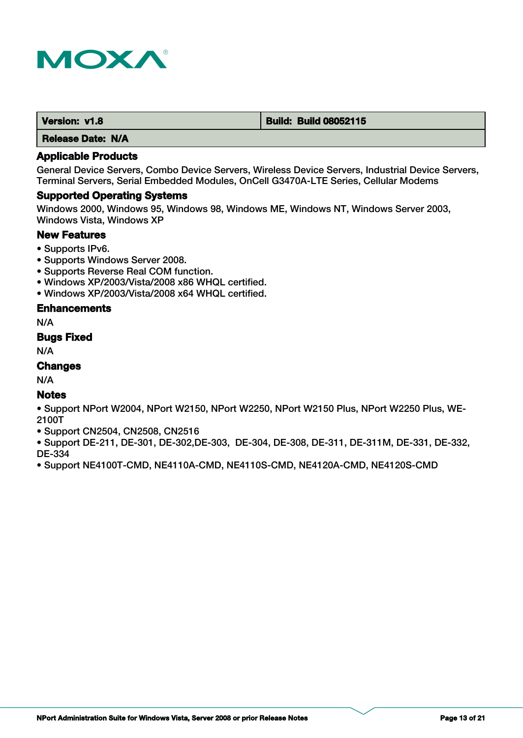

| Version: v1.8 | <b>Build: Build 08052115</b> |
|---------------|------------------------------|
|               |                              |

## **Applicable Products**

General Device Servers, Combo Device Servers, Wireless Device Servers, Industrial Device Servers, Terminal Servers, Serial Embedded Modules, OnCell G3470A-LTE Series, Cellular Modems

#### **Supported Operating Systems**

Windows 2000, Windows 95, Windows 98, Windows ME, Windows NT, Windows Server 2003, Windows Vista, Windows XP

## **New Features**

- Supports IPv6.
- Supports Windows Server 2008.
- Supports Reverse Real COM function.
- Windows XP/2003/Vista/2008 x86 WHQL certified.
- Windows XP/2003/Vista/2008 x64 WHQL certified.

# **Enhancements**

N/A

## **Bugs Fixed**

N/A

# **Changes**

N/A

# **Notes**

• Support NPort W2004, NPort W2150, NPort W2250, NPort W2150 Plus, NPort W2250 Plus, WE-2100T

• Support CN2504, CN2508, CN2516

• Support DE-211, DE-301, DE-302,DE-303, DE-304, DE-308, DE-311, DE-311M, DE-331, DE-332, DE-334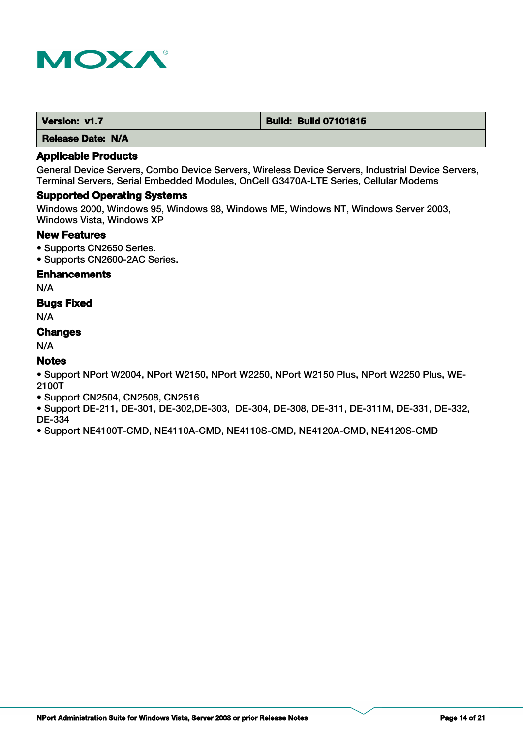

| Version: v1.7 | <b>Build: Build 07101815</b> |
|---------------|------------------------------|
|---------------|------------------------------|

# **Applicable Products**

General Device Servers, Combo Device Servers, Wireless Device Servers, Industrial Device Servers, Terminal Servers, Serial Embedded Modules, OnCell G3470A-LTE Series, Cellular Modems

#### **Supported Operating Systems**

Windows 2000, Windows 95, Windows 98, Windows ME, Windows NT, Windows Server 2003, Windows Vista, Windows XP

# **New Features**

- Supports CN2650 Series.
- Supports CN2600-2AC Series.

### **Enhancements**

N/A

# **Bugs Fixed**

N/A

#### **Changes**

N/A

# **Notes**

• Support NPort W2004, NPort W2150, NPort W2250, NPort W2150 Plus, NPort W2250 Plus, WE-2100T

- Support CN2504, CN2508, CN2516
- Support DE-211, DE-301, DE-302,DE-303, DE-304, DE-308, DE-311, DE-311M, DE-331, DE-332, DE-334
- Support NE4100T-CMD, NE4110A-CMD, NE4110S-CMD, NE4120A-CMD, NE4120S-CMD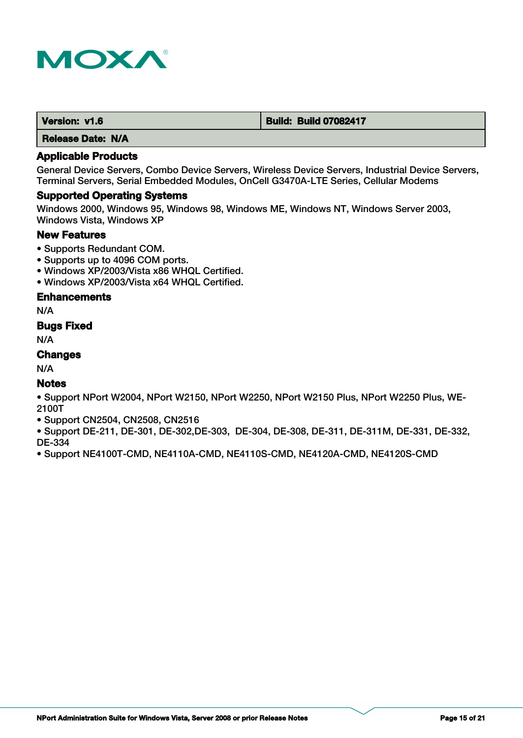

| Version: v1.6 | <b>Build: Build 07082417</b> |
|---------------|------------------------------|
|---------------|------------------------------|

# **Applicable Products**

General Device Servers, Combo Device Servers, Wireless Device Servers, Industrial Device Servers, Terminal Servers, Serial Embedded Modules, OnCell G3470A-LTE Series, Cellular Modems

#### **Supported Operating Systems**

Windows 2000, Windows 95, Windows 98, Windows ME, Windows NT, Windows Server 2003, Windows Vista, Windows XP

## **New Features**

- Supports Redundant COM.
- Supports up to 4096 COM ports.
- Windows XP/2003/Vista x86 WHQL Certified.
- Windows XP/2003/Vista x64 WHQL Certified.

#### **Enhancements**

N/A

# **Bugs Fixed**

N/A

# **Changes**

N/A

# **Notes**

• Support NPort W2004, NPort W2150, NPort W2250, NPort W2150 Plus, NPort W2250 Plus, WE-2100T

• Support CN2504, CN2508, CN2516

• Support DE-211, DE-301, DE-302,DE-303, DE-304, DE-308, DE-311, DE-311M, DE-331, DE-332, DE-334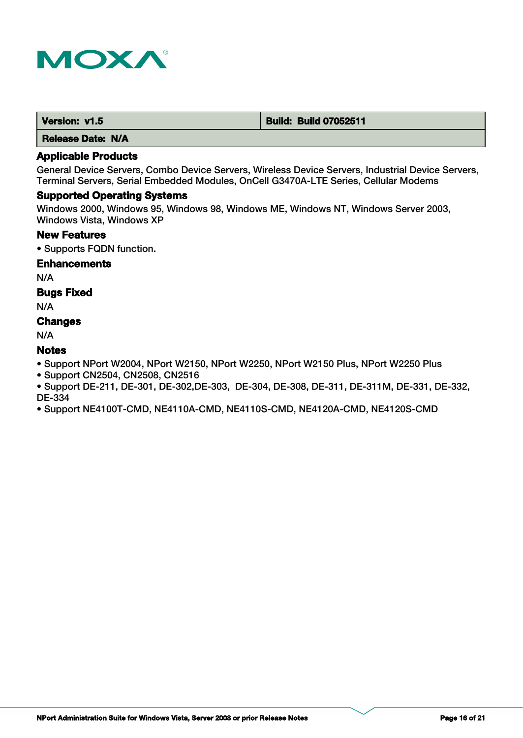

| Version: v1.5 | <b>Build: Build 07052511</b> |
|---------------|------------------------------|
|               |                              |

## **Applicable Products**

General Device Servers, Combo Device Servers, Wireless Device Servers, Industrial Device Servers, Terminal Servers, Serial Embedded Modules, OnCell G3470A-LTE Series, Cellular Modems

#### **Supported Operating Systems**

Windows 2000, Windows 95, Windows 98, Windows ME, Windows NT, Windows Server 2003, Windows Vista, Windows XP

## **New Features**

• Supports FQDN function.

#### **Enhancements**

N/A

# **Bugs Fixed**

N/A

# **Changes**

N/A

# **Notes**

• Support NPort W2004, NPort W2150, NPort W2250, NPort W2150 Plus, NPort W2250 Plus

• Support CN2504, CN2508, CN2516

• Support DE-211, DE-301, DE-302,DE-303, DE-304, DE-308, DE-311, DE-311M, DE-331, DE-332, DE-334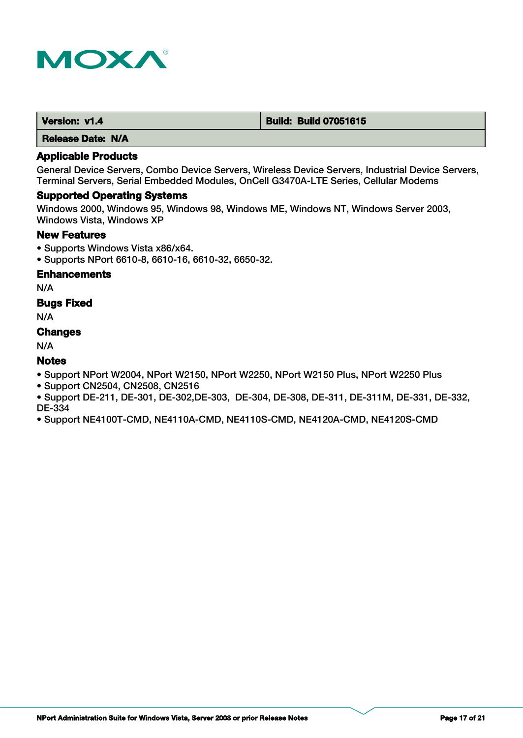

# **Applicable Products**

General Device Servers, Combo Device Servers, Wireless Device Servers, Industrial Device Servers, Terminal Servers, Serial Embedded Modules, OnCell G3470A-LTE Series, Cellular Modems

#### **Supported Operating Systems**

Windows 2000, Windows 95, Windows 98, Windows ME, Windows NT, Windows Server 2003, Windows Vista, Windows XP

## **New Features**

- Supports Windows Vista x86/x64.
- Supports NPort 6610-8, 6610-16, 6610-32, 6650-32.

# **Enhancements**

N/A

# **Bugs Fixed**

N/A

#### **Changes**

N/A

# **Notes**

- Support NPort W2004, NPort W2150, NPort W2250, NPort W2150 Plus, NPort W2250 Plus
- Support CN2504, CN2508, CN2516
- Support DE-211, DE-301, DE-302,DE-303, DE-304, DE-308, DE-311, DE-311M, DE-331, DE-332, DE-334
- Support NE4100T-CMD, NE4110A-CMD, NE4110S-CMD, NE4120A-CMD, NE4120S-CMD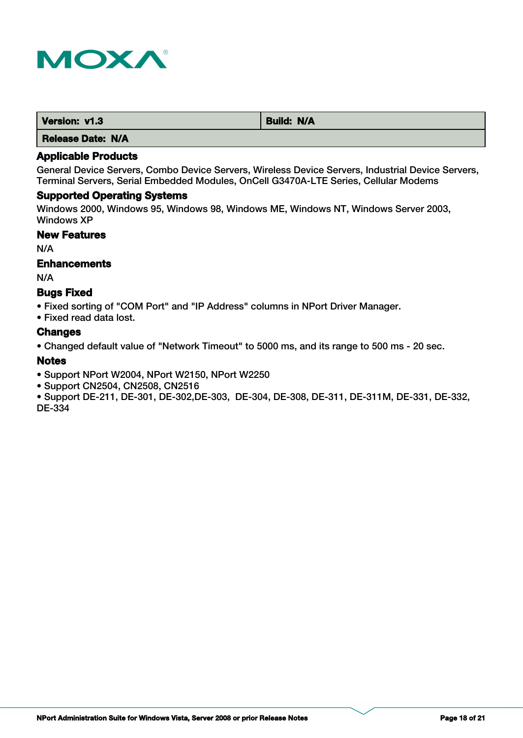

| Version: v1.3     | <b>Build: N/A</b> |
|-------------------|-------------------|
| Release Date: N/A |                   |

General Device Servers, Combo Device Servers, Wireless Device Servers, Industrial Device Servers, Terminal Servers, Serial Embedded Modules, OnCell G3470A-LTE Series, Cellular Modems

# **Supported Operating Systems**

Windows 2000, Windows 95, Windows 98, Windows ME, Windows NT, Windows Server 2003, Windows XP

# **New Features**

N/A

#### **Enhancements**

N/A

#### **Bugs Fixed**

• Fixed sorting of "COM Port" and "IP Address" columns in NPort Driver Manager.

• Fixed read data lost.

#### **Changes**

• Changed default value of "Network Timeout" to 5000 ms, and its range to 500 ms - 20 sec.

#### **Notes**

• Support NPort W2004, NPort W2150, NPort W2250

- Support CN2504, CN2508, CN2516
- Support DE-211, DE-301, DE-302,DE-303, DE-304, DE-308, DE-311, DE-311M, DE-331, DE-332, DE-334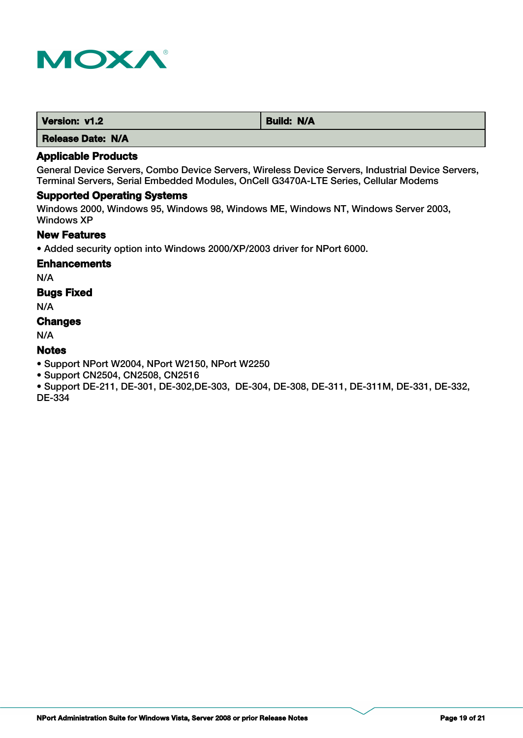

| Version: v1.2 | <b>Build: N/A</b> |
|---------------|-------------------|
| ----          |                   |

# **Applicable Products**

General Device Servers, Combo Device Servers, Wireless Device Servers, Industrial Device Servers, Terminal Servers, Serial Embedded Modules, OnCell G3470A-LTE Series, Cellular Modems

# **Supported Operating Systems**

Windows 2000, Windows 95, Windows 98, Windows ME, Windows NT, Windows Server 2003, Windows XP

## **New Features**

• Added security option into Windows 2000/XP/2003 driver for NPort 6000.

#### **Enhancements**

N/A

# **Bugs Fixed**

N/A

# **Changes**

N/A

# **Notes**

• Support NPort W2004, NPort W2150, NPort W2250

• Support CN2504, CN2508, CN2516

• Support DE-211, DE-301, DE-302,DE-303, DE-304, DE-308, DE-311, DE-311M, DE-331, DE-332, DE-334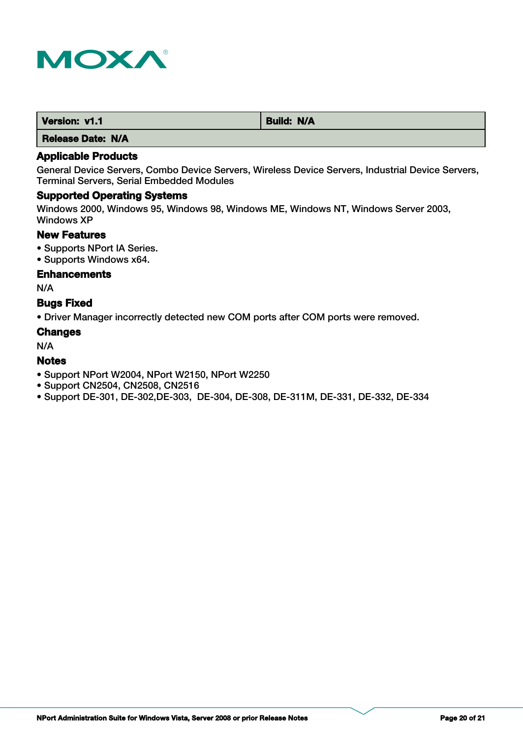

| Version: v1.1 | <b>Build: N/A</b> |
|---------------|-------------------|
| .             |                   |

# **Applicable Products**

General Device Servers, Combo Device Servers, Wireless Device Servers, Industrial Device Servers, Terminal Servers, Serial Embedded Modules

# **Supported Operating Systems**

Windows 2000, Windows 95, Windows 98, Windows ME, Windows NT, Windows Server 2003, Windows XP

# **New Features**

- Supports NPort IA Series.
- Supports Windows x64.

## **Enhancements**

N/A

# **Bugs Fixed**

• Driver Manager incorrectly detected new COM ports after COM ports were removed.

#### **Changes**

N/A

## **Notes**

- Support NPort W2004, NPort W2150, NPort W2250
- Support CN2504, CN2508, CN2516
- Support DE-301, DE-302,DE-303, DE-304, DE-308, DE-311M, DE-331, DE-332, DE-334